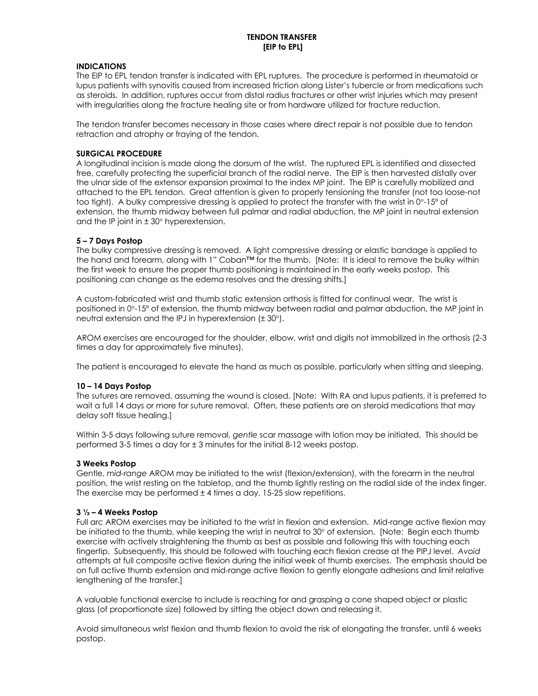## **INDICATIONS**

The EIP to EPL tendon transfer is indicated with EPL ruptures. The procedure is performed in rheumatoid or lupus patients with synovitis caused from increased friction along Lister's tubercle or from medications such as steroids. In addition, ruptures occur from distal radius fractures or other wrist injuries which may present with irregularities along the fracture healing site or from hardware utilized for fracture reduction.

The tendon transfer becomes necessary in those cases where direct repair is not possible due to tendon retraction and atrophy or fraying of the tendon.

### **SURGICAL PROCEDURE**

A longitudinal incision is made along the dorsum of the wrist. The ruptured EPL is identified and dissected free, carefully protecting the superficial branch of the radial nerve. The EIP is then harvested distally over the ulnar side of the extensor expansion proximal to the index MP joint. The EIP is carefully mobilized and attached to the EPL tendon. Great attention is given to properly tensioning the transfer (not too loose-not too tight). A bulky compressive dressing is applied to protect the transfer with the wrist in 0°-15º of extension, the thumb midway between full palmar and radial abduction, the MP joint in neutral extension and the IP joint in  $\pm$  30 $^{\circ}$  hyperextension.

## **5 – 7 Days Postop**

The bulky compressive dressing is removed. A light compressive dressing or elastic bandage is applied to the hand and forearm, along with 1" Coban™ for the thumb. [Note: It is ideal to remove the bulky within the first week to ensure the proper thumb positioning is maintained in the early weeks postop. This positioning can change as the edema resolves and the dressing shifts.]

A custom-fabricated wrist and thumb static extension orthosis is fitted for continual wear. The wrist is positioned in 0°-15º of extension, the thumb midway between radial and palmar abduction, the MP joint in neutral extension and the IPJ in hyperextension (± 30°).

AROM exercises are encouraged for the shoulder, elbow, wrist and digits not immobilized in the orthosis (2-3 times a day for approximately five minutes).

The patient is encouraged to elevate the hand as much as possible, particularly when sitting and sleeping.

#### **10 – 14 Days Postop**

The sutures are removed, assuming the wound is closed. [Note: With RA and lupus patients, it is preferred to wait a full 14 days or more for suture removal. Often, these patients are on steroid medications that may delay soft tissue healing.]

Within 3-5 days following suture removal, *gentle* scar massage with lotion may be initiated. This should be performed 3-5 times a day for ± 3 minutes for the initial 8-12 weeks postop.

#### **3 Weeks Postop**

Gentle, *mid-range* AROM may be initiated to the wrist (flexion/extension), with the forearm in the neutral position, the wrist resting on the tabletop, and the thumb lightly resting on the radial side of the index finger. The exercise may be performed  $\pm$  4 times a day, 15-25 slow repetitions.

#### **3 ½ – 4 Weeks Postop**

Full arc AROM exercises may be initiated to the wrist in flexion and extension. Mid-range active flexion may be initiated to the thumb, while keeping the wrist in neutral to 30° of extension. [Note: Begin each thumb exercise with actively straightening the thumb as best as possible and following this with touching each fingertip. Subsequently, this should be followed with touching each flexion crease at the PIPJ level. *Avoid* attempts at full composite active flexion during the initial week of thumb exercises. The emphasis should be on full active thumb extension and mid-range active flexion to gently elongate adhesions and limit relative lengthening of the transfer.]

A valuable functional exercise to include is reaching for and grasping a cone shaped object or plastic glass (of proportionate size) followed by sitting the object down and releasing it.

Avoid simultaneous wrist flexion and thumb flexion to avoid the risk of elongating the transfer, until 6 weeks postop.